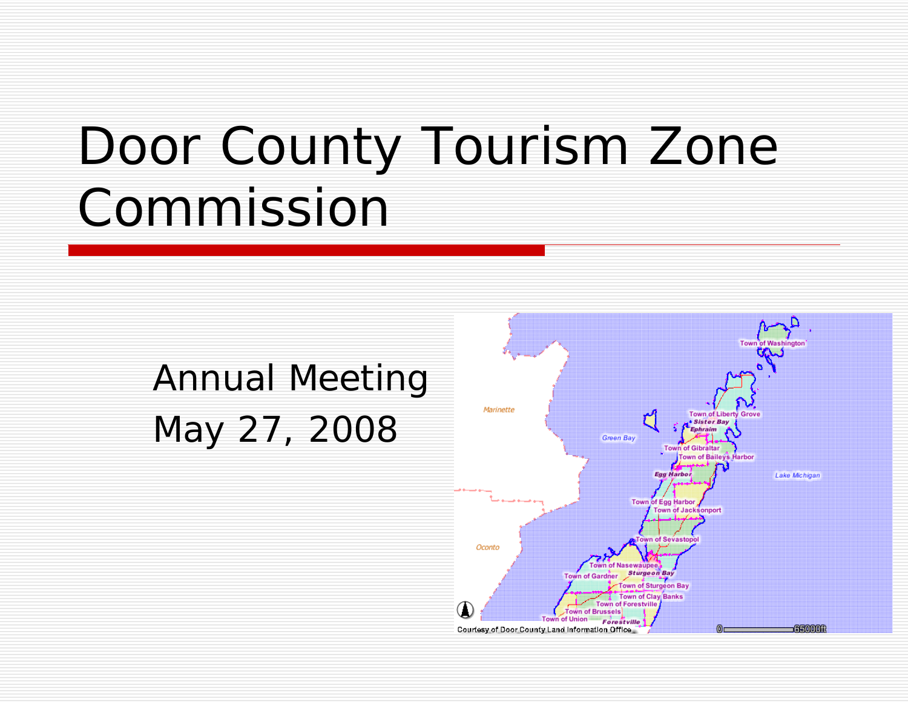## Door County Tourism Zone Commission

### Annual Meeting May 27, 2008

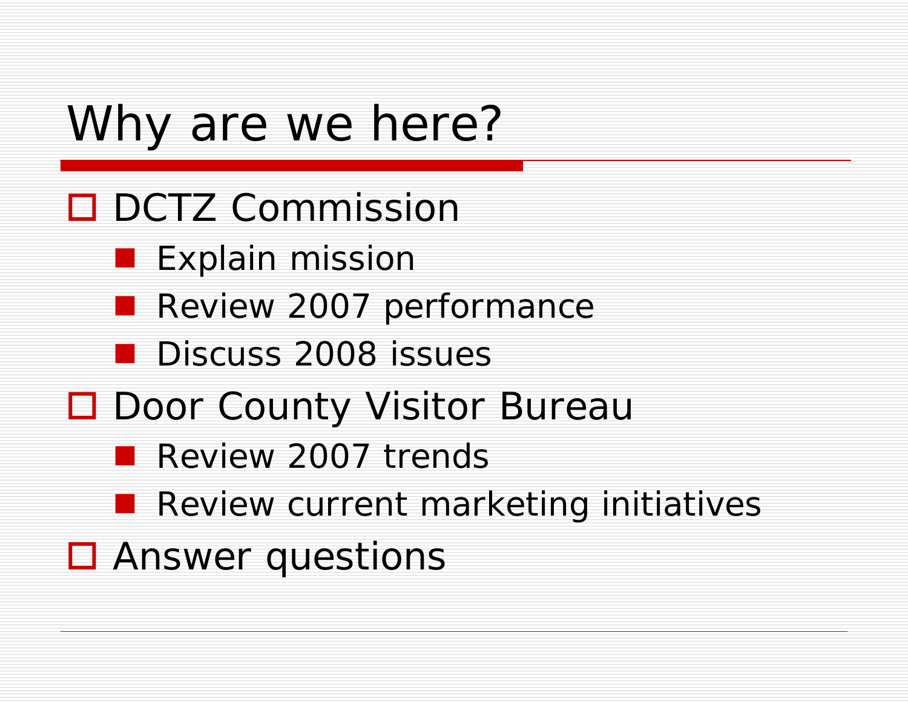## Why are we here?

- **□** DCTZ Commission
	- **Explain mission**
	- **Review 2007 performance**
	- **Discuss 2008 issues**
- Door County Visitor Bureau
	- **Review 2007 trends**
	- **Review current marketing initiatives**
- **□** Answer questions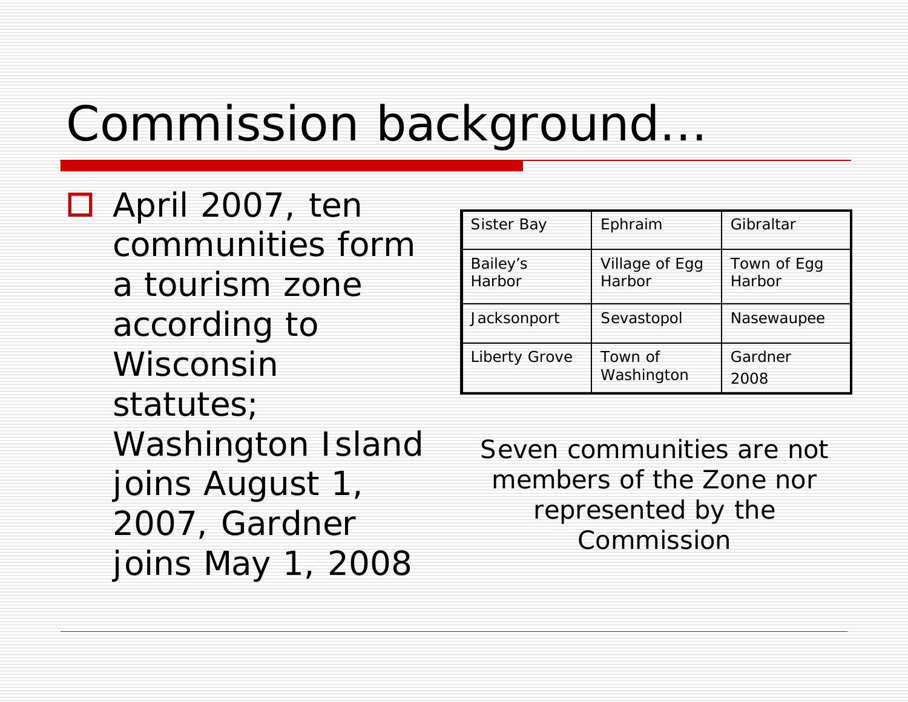## Commission background…

 April 2007, ten communities form a tourism zone according to Wisconsin statutes; Washington Island joins August 1, 2007, Gardner joins May 1, 2008

| <b>Sister Bay</b>  | Ephraim                  | Gibraltar             |
|--------------------|--------------------------|-----------------------|
| Bailey's<br>Harbor | Village of Egg<br>Harbor | Town of Egg<br>Harbor |
| Jacksonport        | Sevastopol               | Nasewaupee            |
| Liberty Grove      | Town of<br>Washington    | Gardner<br>2008       |

Seven communities are not members of the Zone nor represented by the Commission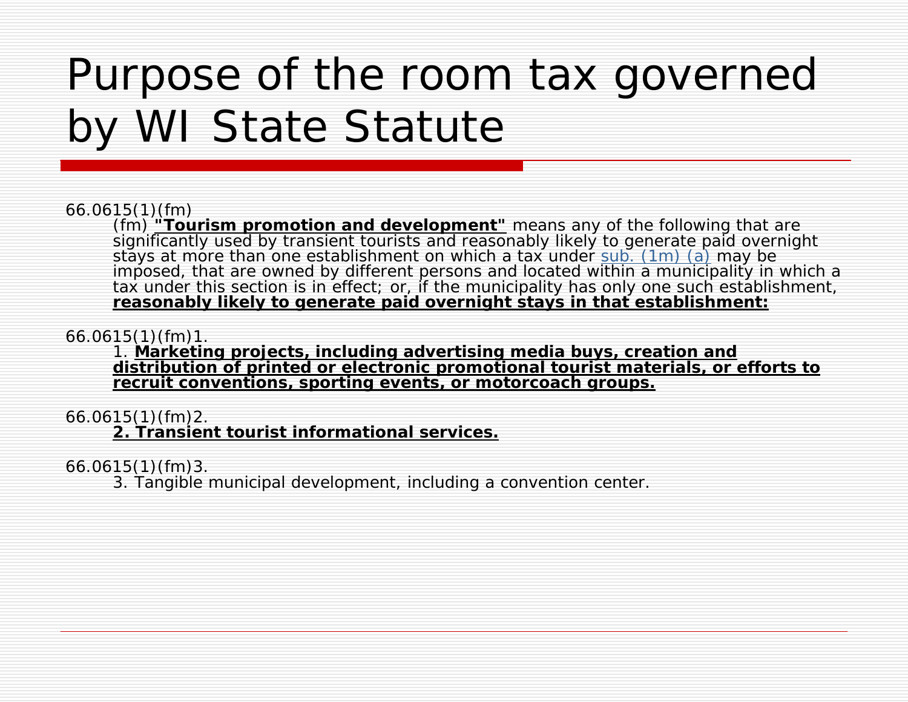## Purpose of the room tax governed by WI State Statute

### 66.0615(1)(fm)

(fm) **"Tourism promotion and development"** means any of the following that are significantly used by transient tourists and reasonably likely to generate paid overnight stays at more than one establishment on which a tax under [sub. \(1m\) \(a\)](http://nxt.legis.state.wi.us/nxt/gateway.dll/Statutes Related/Wisconsin Statutes/3323/66.0615(1m)(a)) may be imposed, that are owned by different persons and located within a municipality in which a tax under this section is in effect; or, if the municipality has only one such establishment, **reasonably likely to generate paid overnight stays in that establishment:**

66.0615(1)(fm)1.<br>1. Marketing projects, including advertising media buys, creation and distribution of printed or electronic promotional tourist materials, or efforts to **recruit conventions, sporting events, or motorcoach groups.**

### 66.0615(1)(fm)2.

**2. Transient tourist informational services.**

66.0615(1)(fm)3.

3. Tangible municipal development, including a convention center.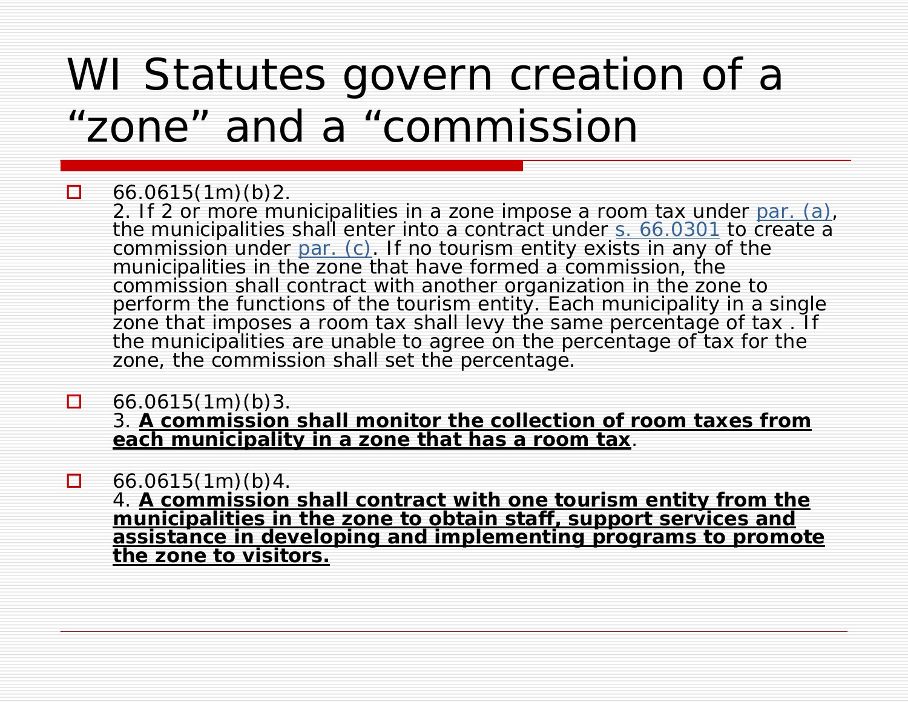### WI Statutes govern creation of a "zone" and a "commission

#### $\Box$ 66.0615(1m)(b)2.

2. If 2 or more municipalities in a zone impose a room tax under [par. \(a\)](http://nxt.legis.state.wi.us/nxt/gateway.dll/Statutes Related/Wisconsin Statutes/3323/66.0615(1m)(a)), the municipalities shall enter into a contract under [s. 66.0301](http://nxt.legis.state.wi.us/nxt/gateway.dll/Statutes Related/Wisconsin Statutes/3323/66.0301) to create a commission under <u>par. (c)</u>. If no tourism entity exists in any of the municipalities in the zone that have formed a commission, the commission shall contract with another organization in the zone to perform the functions of the tourism entity. Each municipality in a single zone that imposes a room tax shall levy the same percentage of tax . If the municipalities are unable to agree on the percentage of tax for the zone, the commission shall set the percentage.

66.0615(1m)(b)3.

.

3. **A commission shall monitor the collection of room taxes from each municipality in a zone that has a room tax**.

 $\Box$ 66.0615(1m)(b)4.

4. **A commission shall contract with one tourism entity from the municipalities in the zone to obtain staff, support services and assistance in developing and implementing programs to promote the zone to visitors.**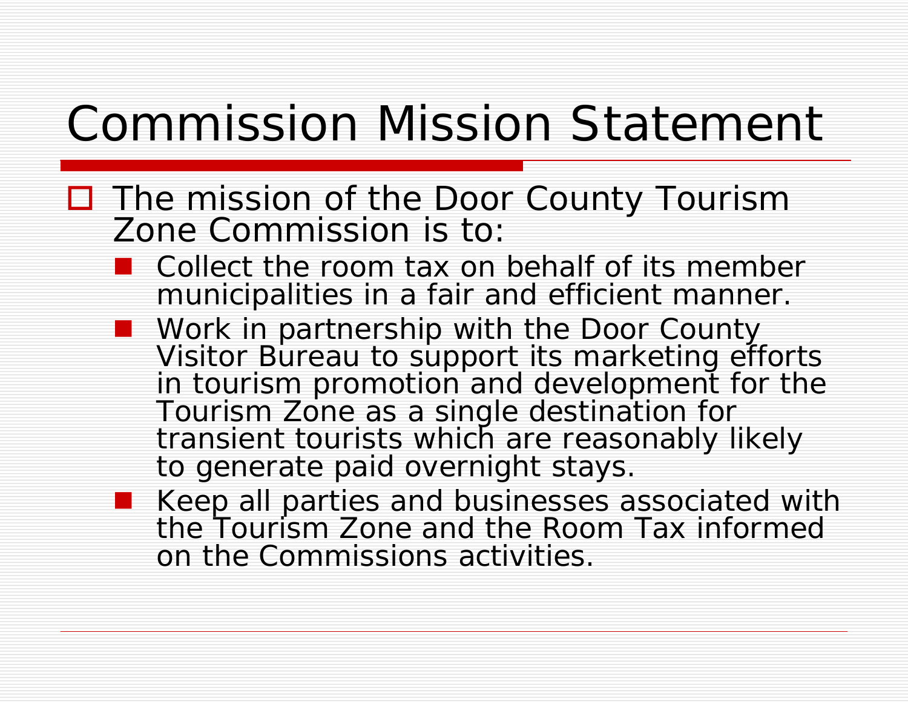## Commission Mission Statement

- □ The mission of the Door County Tourism Zone Commission is to:
	- Collect the room tax on behalf of its member municipalities in a fair and efficient manner.
	- **Nork in partnership with the Door County** Visitor Bureau to support its marketing efforts in tourism promotion and development for the Tourism Zone as a single destination for transient tourists which are reasonably likely to generate paid overnight stays.
	- **Keep all parties and businesses associated with** the Tourism Zone and the Room Tax informed on the Commissions activities.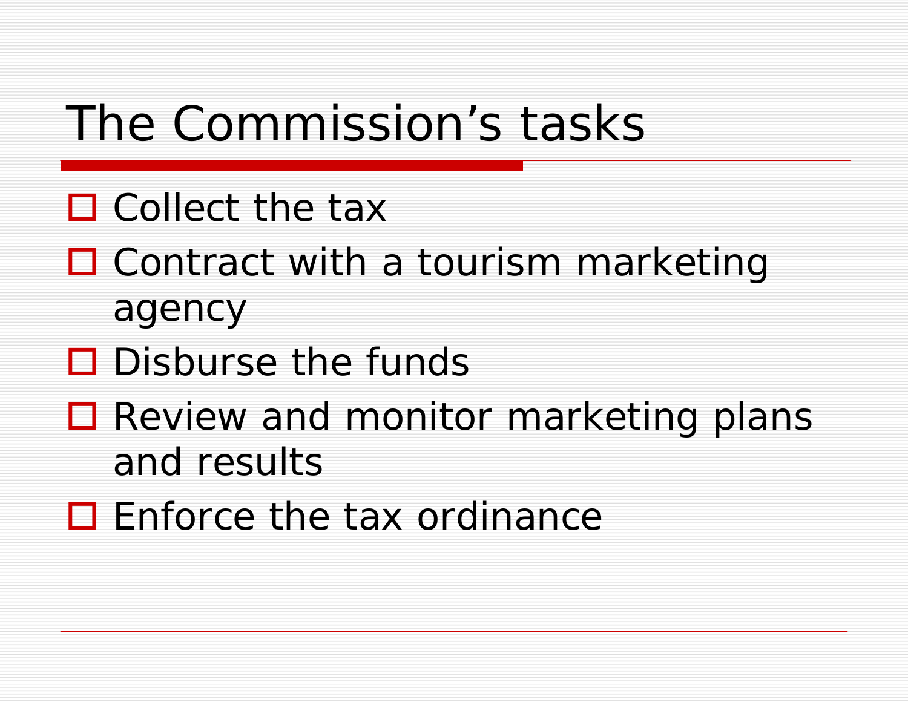## The Commission's tasks

- □ Collect the tax
- Contract with a tourism marketing agency
- $\square$  Disburse the funds
- Review and monitor marketing plans and results
- □ Enforce the tax ordinance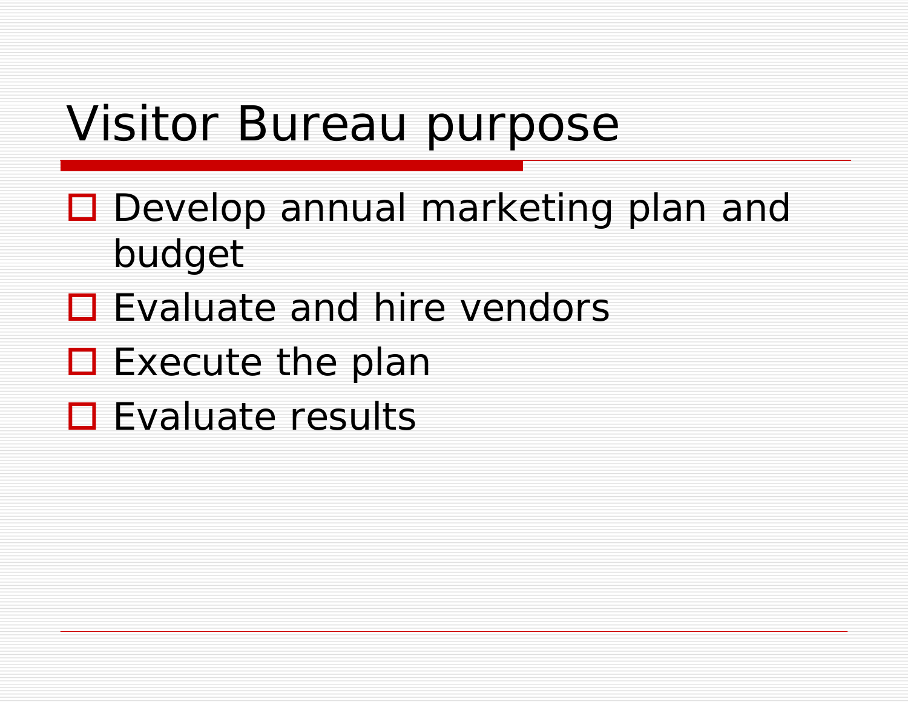### Visitor Bureau purpose

- Develop annual marketing plan and budget
- □ Evaluate and hire vendors
- $\square$  Execute the plan
- **□** Evaluate results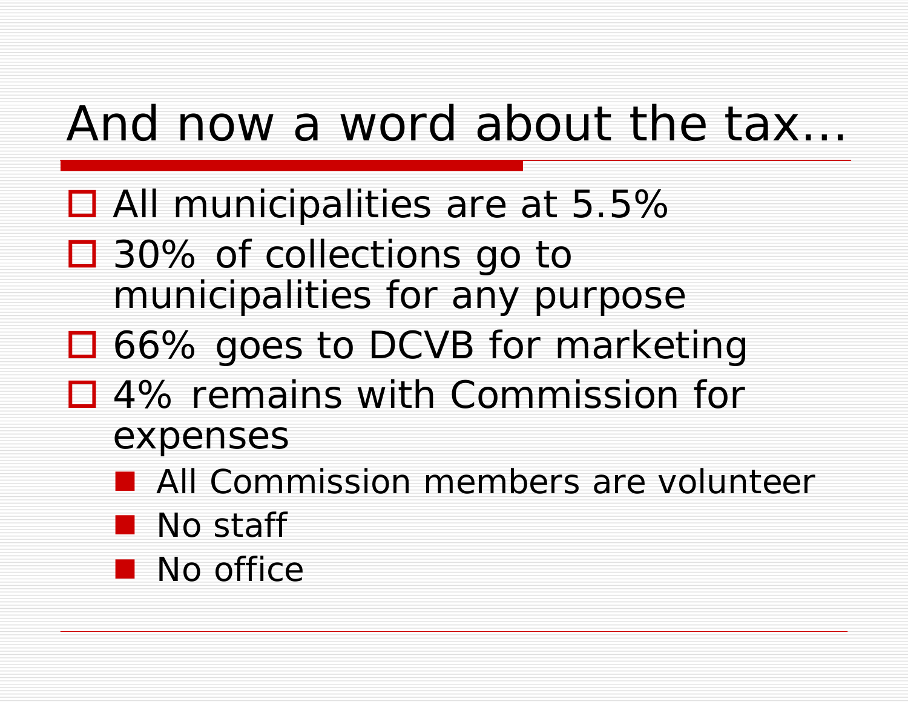## And now a word about the tax…

- All municipalities are at 5.5%
- 30% of collections go to municipalities for any purpose
- 66% goes to DCVB for marketing
- □ 4% remains with Commission for expenses
	- **All Commission members are volunteer**
	- **No staff**
	- **No office**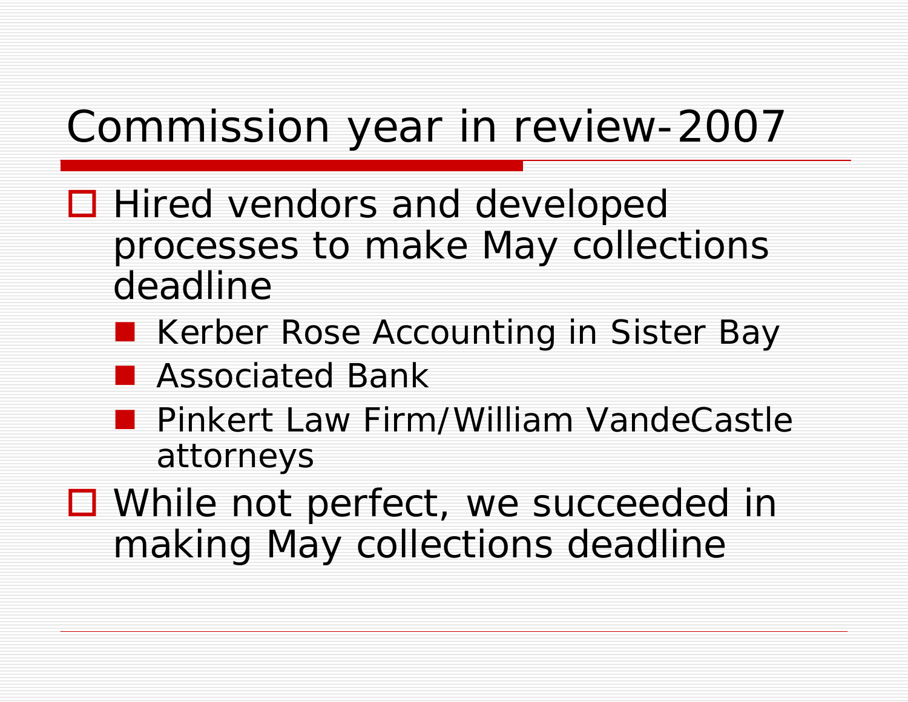### Commission year in review-2007

- **□** Hired vendors and developed processes to make May collections deadline
	- Kerber Rose Accounting in Sister Bay
	- **Reflexive Associated Bank**
	- **Pinkert Law Firm/William VandeCastle** attorneys
- □ While not perfect, we succeeded in making May collections deadline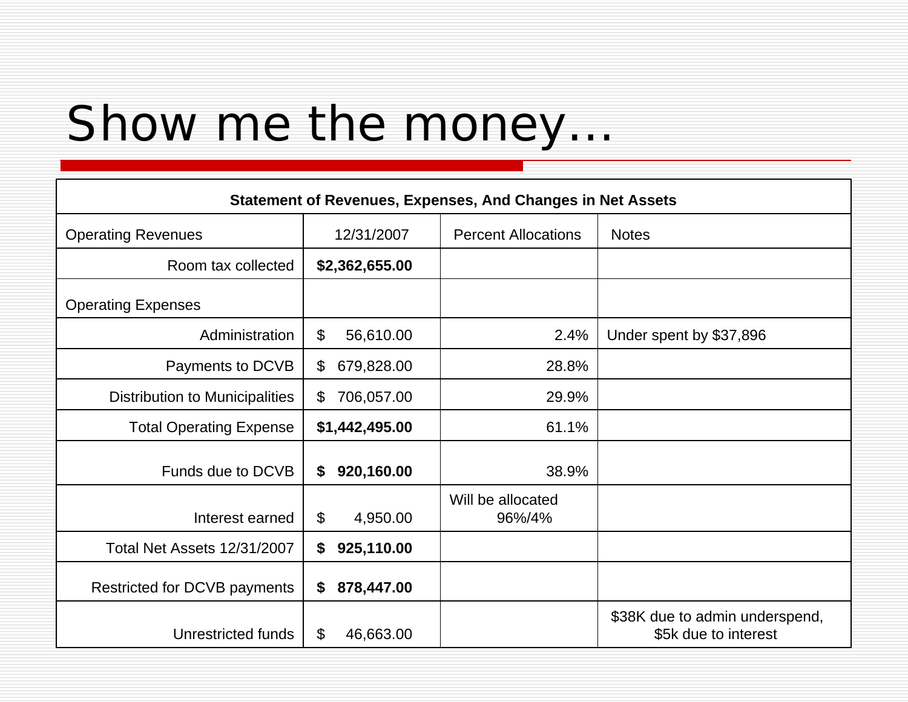## Show me the money…

| <b>Statement of Revenues, Expenses, And Changes in Net Assets</b> |                                        |                             |                                                        |  |
|-------------------------------------------------------------------|----------------------------------------|-----------------------------|--------------------------------------------------------|--|
| <b>Operating Revenues</b>                                         | 12/31/2007                             | <b>Percent Allocations</b>  | <b>Notes</b>                                           |  |
| Room tax collected                                                | \$2,362,655.00                         |                             |                                                        |  |
| <b>Operating Expenses</b>                                         |                                        |                             |                                                        |  |
| Administration                                                    | $\boldsymbol{\mathsf{S}}$<br>56,610.00 | 2.4%                        | Under spent by \$37,896                                |  |
| Payments to DCVB                                                  | $\mathbb{S}$<br>679,828.00             | 28.8%                       |                                                        |  |
| <b>Distribution to Municipalities</b>                             | $\mathfrak{L}$<br>706,057.00           | 29.9%                       |                                                        |  |
| <b>Total Operating Expense</b>                                    | \$1,442,495.00                         | 61.1%                       |                                                        |  |
| Funds due to DCVB                                                 | 920,160.00<br>\$                       | 38.9%                       |                                                        |  |
| Interest earned                                                   | \$<br>4,950.00                         | Will be allocated<br>96%/4% |                                                        |  |
| Total Net Assets 12/31/2007                                       | \$<br>925,110.00                       |                             |                                                        |  |
| Restricted for DCVB payments                                      | 878,447.00<br>\$                       |                             |                                                        |  |
| Unrestricted funds                                                | \$<br>46,663.00                        |                             | \$38K due to admin underspend,<br>\$5k due to interest |  |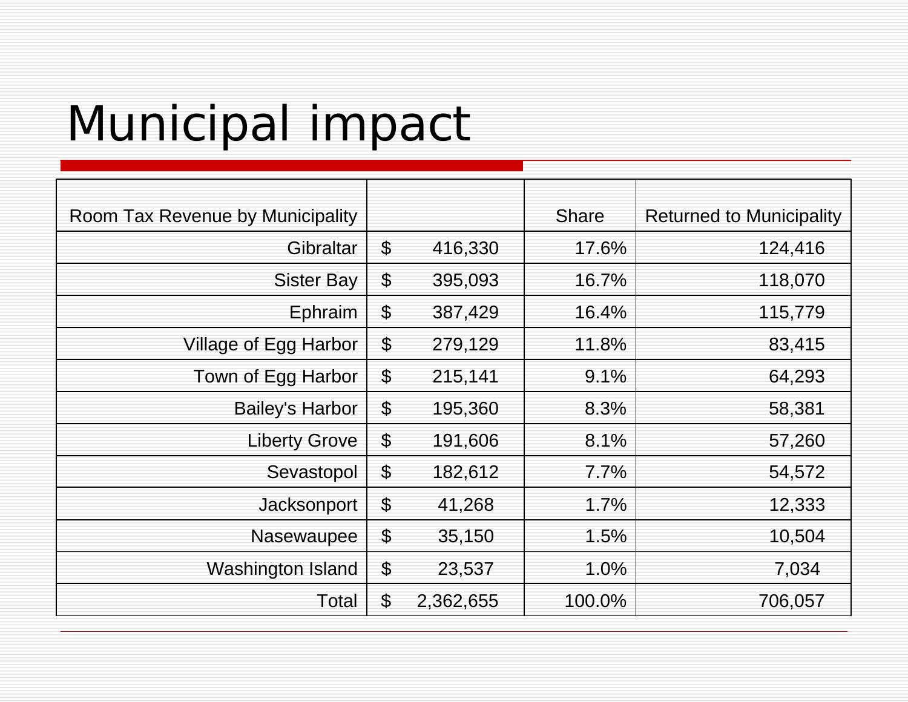# Municipal impact

| Room Tax Revenue by Municipality |                           |           | <b>Share</b> | <b>Returned to Municipality</b> |
|----------------------------------|---------------------------|-----------|--------------|---------------------------------|
| Gibraltar                        | \$                        | 416,330   | 17.6%        | 124,416                         |
| <b>Sister Bay</b>                | $\boldsymbol{\theta}$     | 395,093   | 16.7%        | 118,070                         |
| Ephraim                          | \$                        | 387,429   | 16.4%        | 115,779                         |
| Village of Egg Harbor            | \$                        | 279,129   | 11.8%        | 83,415                          |
| Town of Egg Harbor               | $\boldsymbol{\mathsf{S}}$ | 215,141   | 9.1%         | 64,293                          |
| <b>Bailey's Harbor</b>           | $\boldsymbol{\mathsf{S}}$ | 195,360   | 8.3%         | 58,381                          |
| <b>Liberty Grove</b>             | \$                        | 191,606   | 8.1%         | 57,260                          |
| Sevastopol                       | $\boldsymbol{\theta}$     | 182,612   | $7.7\%$      | 54,572                          |
| Jacksonport                      | $\boldsymbol{\theta}$     | 41,268    | 1.7%         | 12,333                          |
| Nasewaupee                       | $\boldsymbol{\mathsf{S}}$ | 35,150    | 1.5%         | 10,504                          |
| Washington Island                | \$                        | 23,537    | 1.0%         | 7,034                           |
| Total                            | \$                        | 2,362,655 | 100.0%       | 706,057                         |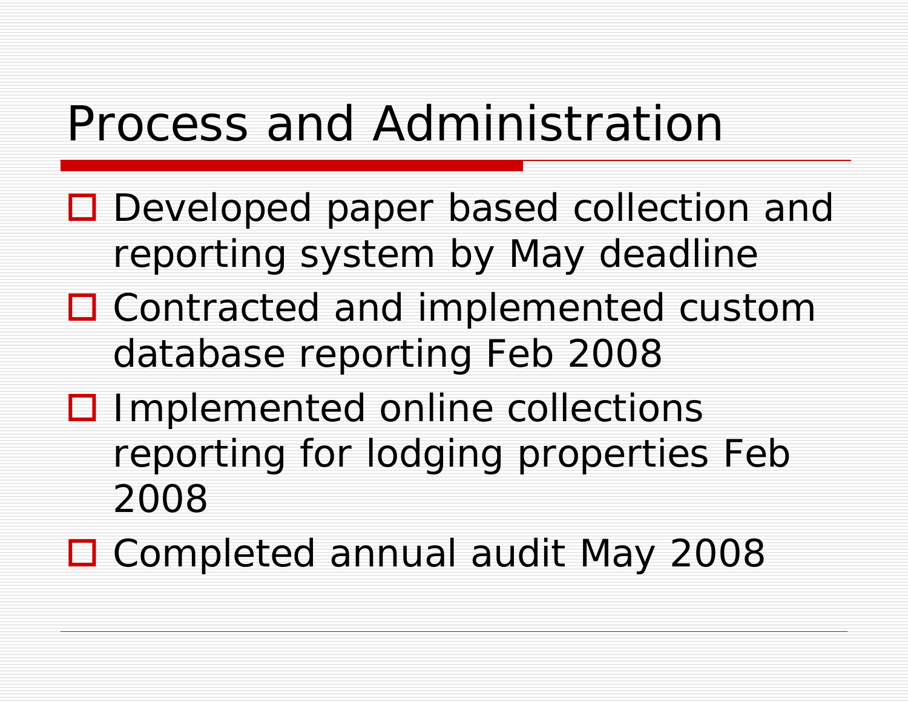## Process and Administration

- □ Developed paper based collection and reporting system by May deadline
- □ Contracted and implemented custom database reporting Feb 2008
- □ Implemented online collections reporting for lodging properties Feb 2008

Completed annual audit May 2008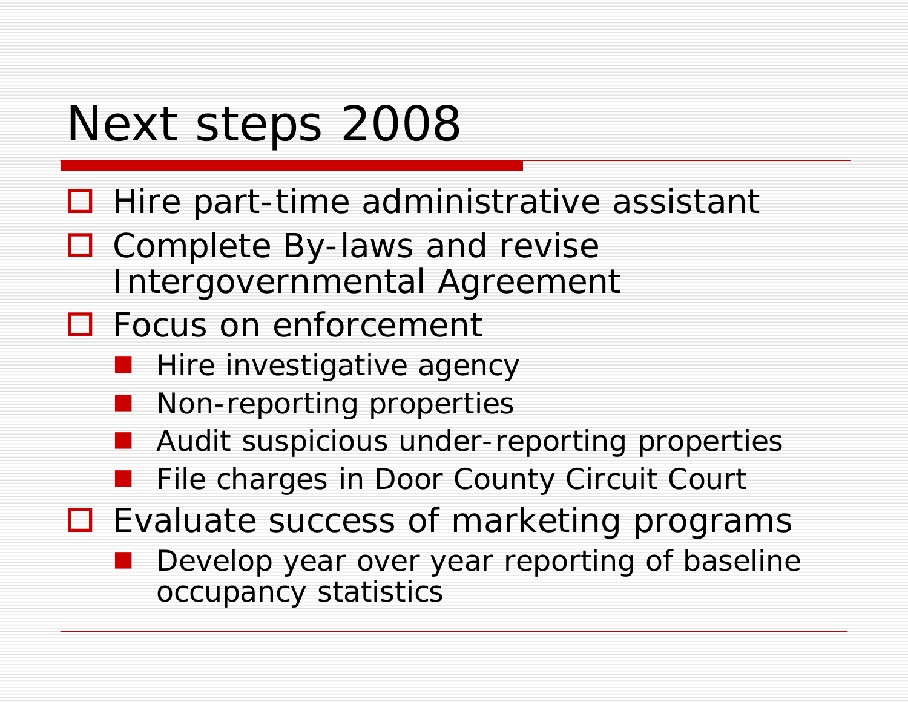## Next steps 2008

- $\Box$  Hire part-time administrative assistant
- □ Complete By-laws and revise Intergovernmental Agreement
- □ Focus on enforcement
	- **Hire investigative agency**
	- Non-reporting properties
	- Audit suspicious under-reporting properties
	- File charges in Door County Circuit Court
- Evaluate success of marketing programs
	- Develop year over year reporting of baseline occupancy statistics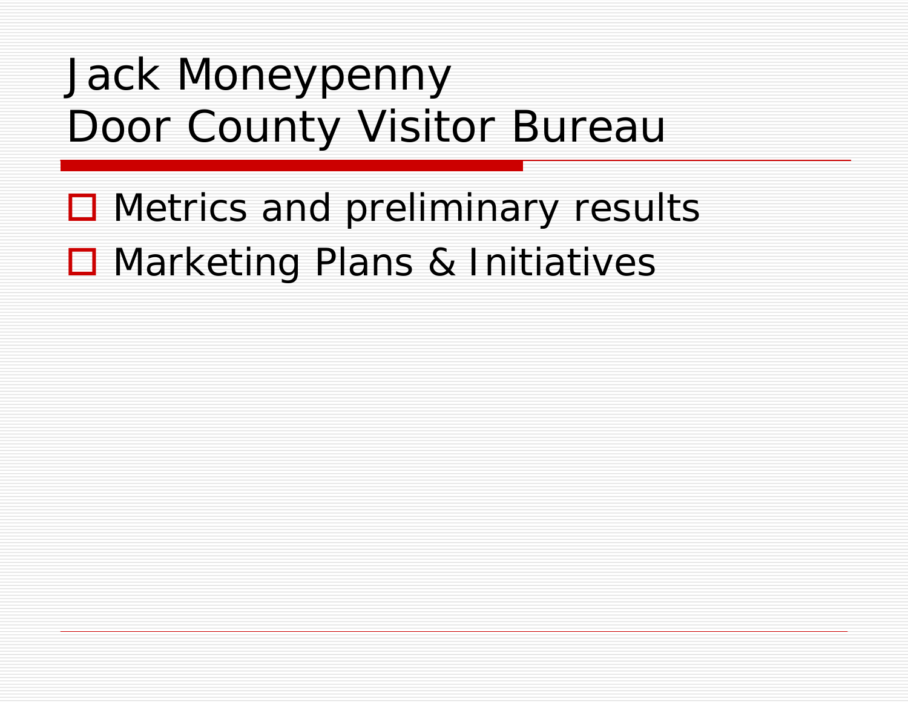### Jack Moneypenny Door County Visitor Bureau

- Metrics and preliminary results
- Marketing Plans & Initiatives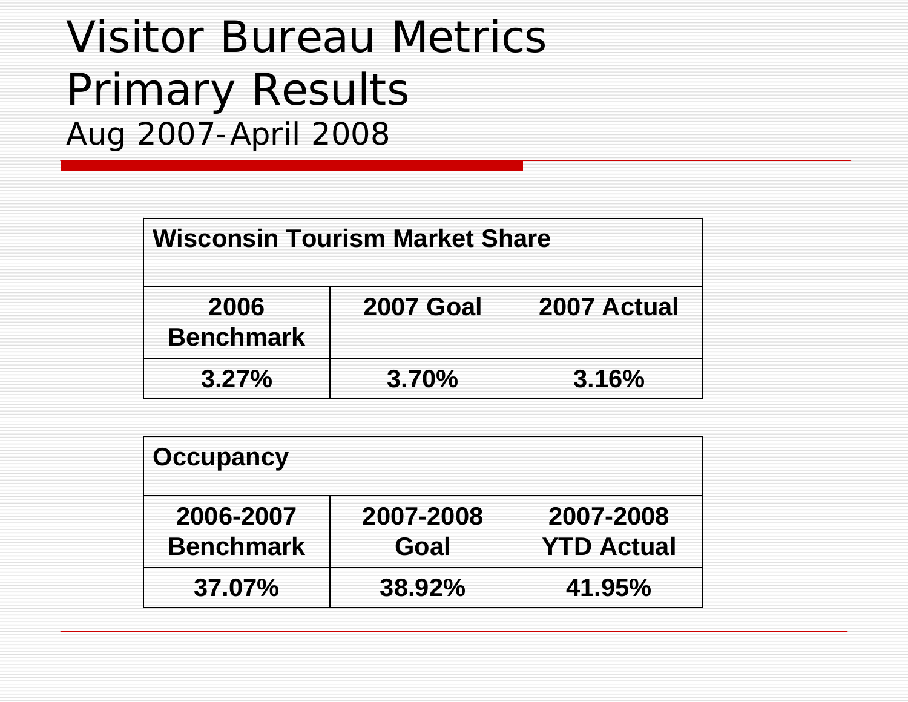### Visitor Bureau Metrics Primary Results Aug 2007-April 2008

| <b>Wisconsin Tourism Market Share</b> |                  |             |  |  |
|---------------------------------------|------------------|-------------|--|--|
| 2006<br><b>Benchmark</b>              | <b>2007 Goal</b> | 2007 Actual |  |  |
| $3.27\%$                              | $3.70\%$         | 3.16%       |  |  |

| <b>Occupancy</b>              |                   |                                |
|-------------------------------|-------------------|--------------------------------|
| 2006-2007<br><b>Benchmark</b> | 2007-2008<br>Goal | 2007-2008<br><b>YTD Actual</b> |
| 37.07%                        | $38.92\%$         | 41.95%                         |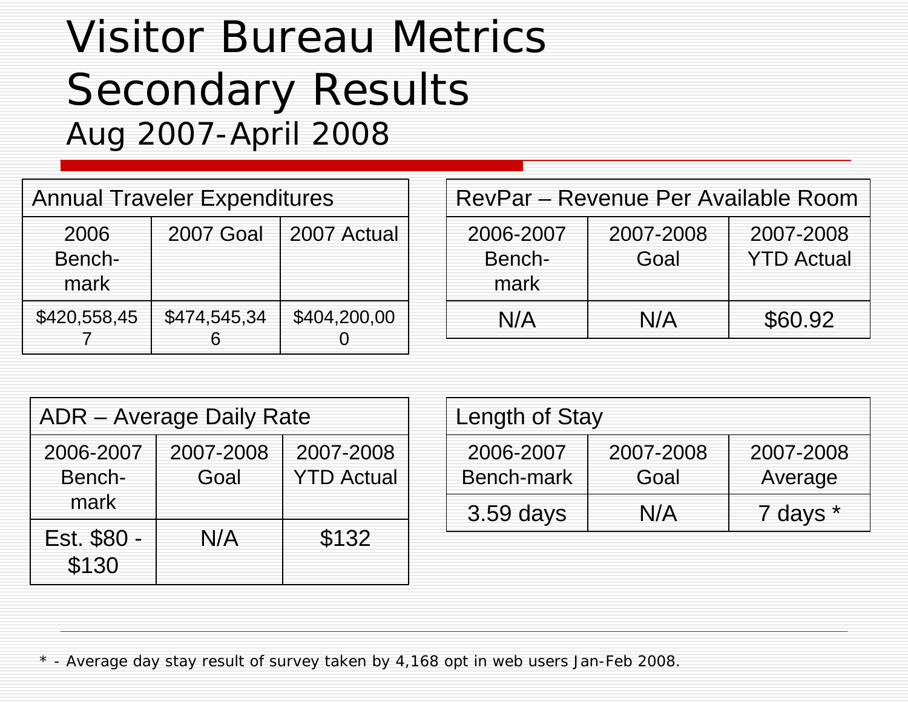### Visitor Bureau Metrics Secondary Results Aug 2007-April 2008

| <b>Annual Traveler Expenditures</b> |                  |              |  |
|-------------------------------------|------------------|--------------|--|
| 2006<br>Bench-<br>mark              | <b>2007 Goal</b> | 2007 Actual  |  |
| \$420,558,45                        | \$474,545,34     | \$404,200,00 |  |

| RevPar – Revenue Per Available Room |                                |         |  |  |
|-------------------------------------|--------------------------------|---------|--|--|
| 2006-2007<br>Bench-<br>mark         | 2007-2008<br><b>YTD Actual</b> |         |  |  |
| N/A                                 | N/A                            | \$60.92 |  |  |

| <b>ADR</b> – Average Daily Rate |                   |                                |  |
|---------------------------------|-------------------|--------------------------------|--|
| 2006-2007<br>Bench-<br>mark     | 2007-2008<br>Goal | 2007-2008<br><b>YTD Actual</b> |  |
| Est. \$80 -<br>\$130            | N/A               | \$132                          |  |

| Length of Stay          |                   |                      |  |
|-------------------------|-------------------|----------------------|--|
| 2006-2007<br>Bench-mark | 2007-2008<br>Goal | 2007-2008<br>Average |  |
| 3.59 days               | N/A               | 7 days *             |  |

\* - Average day stay result of survey taken by 4,168 opt in web users Jan-Feb 2008.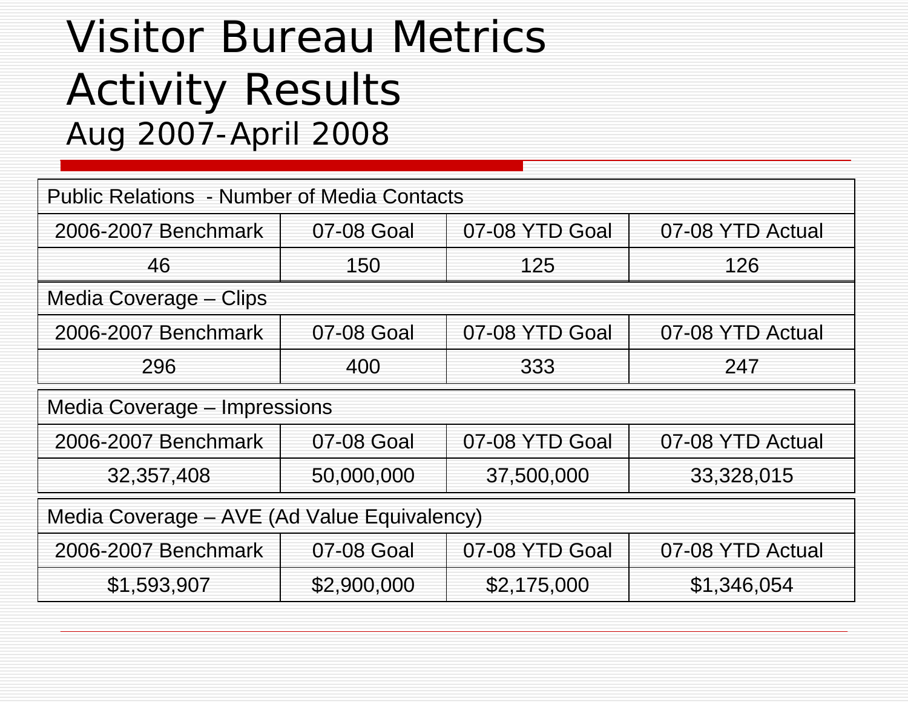### Visitor Bureau Metrics Activity Results Aug 2007-April 2008

| <b>Public Relations - Number of Media Contacts</b> |                |                  |                  |  |
|----------------------------------------------------|----------------|------------------|------------------|--|
| 2006-2007 Benchmark                                | 07-08 YTD Goal | 07-08 YTD Actual |                  |  |
| 46                                                 | 150            | 125              | 126              |  |
| Media Coverage – Clips                             |                |                  |                  |  |
| 2006-2007 Benchmark                                | 07-08 Goal     | 07-08 YTD Goal   | 07-08 YTD Actual |  |
| 296                                                | 400            | 333              | 247              |  |
| Media Coverage – Impressions                       |                |                  |                  |  |
| 2006-2007 Benchmark                                | 07-08 Goal     | 07-08 YTD Goal   | 07-08 YTD Actual |  |
| 32,357,408                                         | 50,000,000     | 37,500,000       | 33,328,015       |  |
| Media Coverage – AVE (Ad Value Equivalency)        |                |                  |                  |  |
| 2006-2007 Benchmark                                | 07-08 Goal     | 07-08 YTD Goal   | 07-08 YTD Actual |  |
| \$1,593,907                                        | \$2,900,000    | \$2,175,000      | \$1,346,054      |  |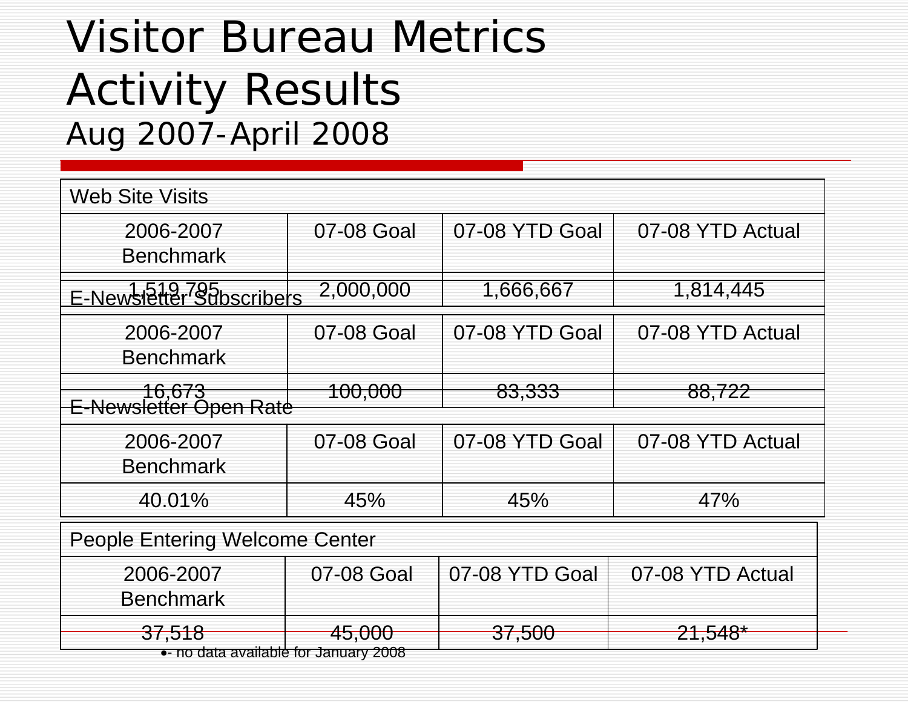### Visitor Bureau Metrics Activity Results Aug 2007-April 2008

| <b>Web Site Visits</b>                |                    |                |                  |  |
|---------------------------------------|--------------------|----------------|------------------|--|
| 2006-2007<br><b>Benchmark</b>         | 07-08 Goal         | 07-08 YTD Goal | 07-08 YTD Actual |  |
| E-Newsletter Subscribers              | 2,000,000          | 1,666,667      | 1,814,445        |  |
| 2006-2007<br><b>Benchmark</b>         | 07-08 Goal         | 07-08 YTD Goal | 07-08 YTD Actual |  |
| ─────16,673<br>E-Newsletter Open Rate | <del>100,000</del> | 83,333         | 88,722           |  |
| 2006-2007<br><b>Benchmark</b>         | 07-08 Goal         | 07-08 YTD Goal | 07-08 YTD Actual |  |
| 40.01%                                | 45%                | 45%            | 47%              |  |
| People Entering Welcome Center        |                    |                |                  |  |
| 2006-2007<br><b>Benchmark</b>         | 07-08 Goal         | 07-08 YTD Goal | 07-08 YTD Actual |  |
| 37,518                                | 45,000             | 37,500         | $21,548*$        |  |

•- no data available for January 2008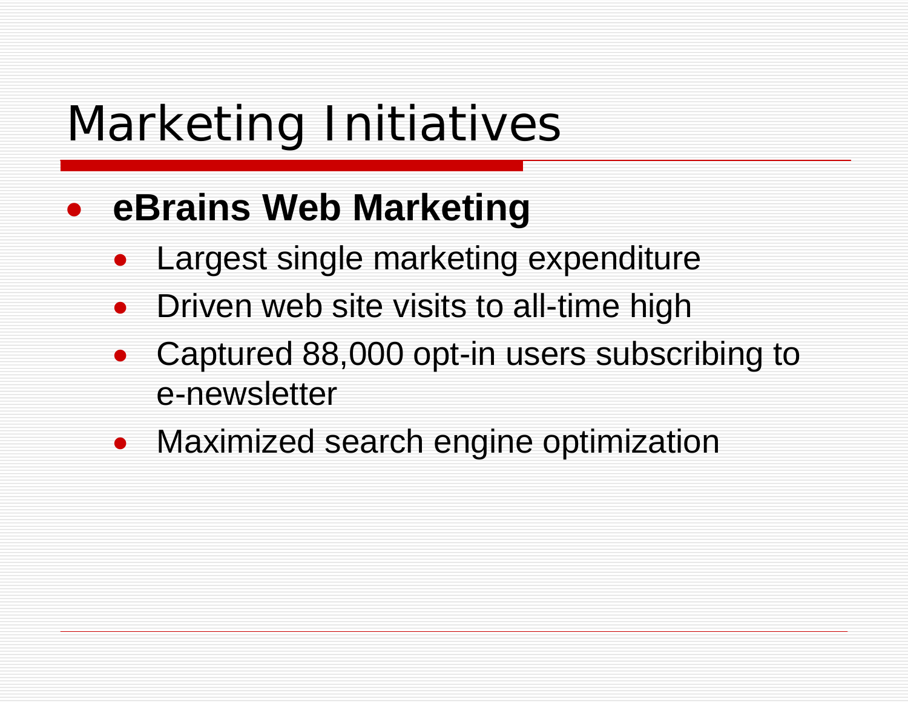### $\bullet$ **eBrains Web Marketing**

- $\bullet$ Largest single marketing expenditure
- $\bullet$ Driven web site visits to all-time high
- $\bullet$  Captured 88,000 opt-in users subscribing to e-newsletter
- Maximized search engine optimization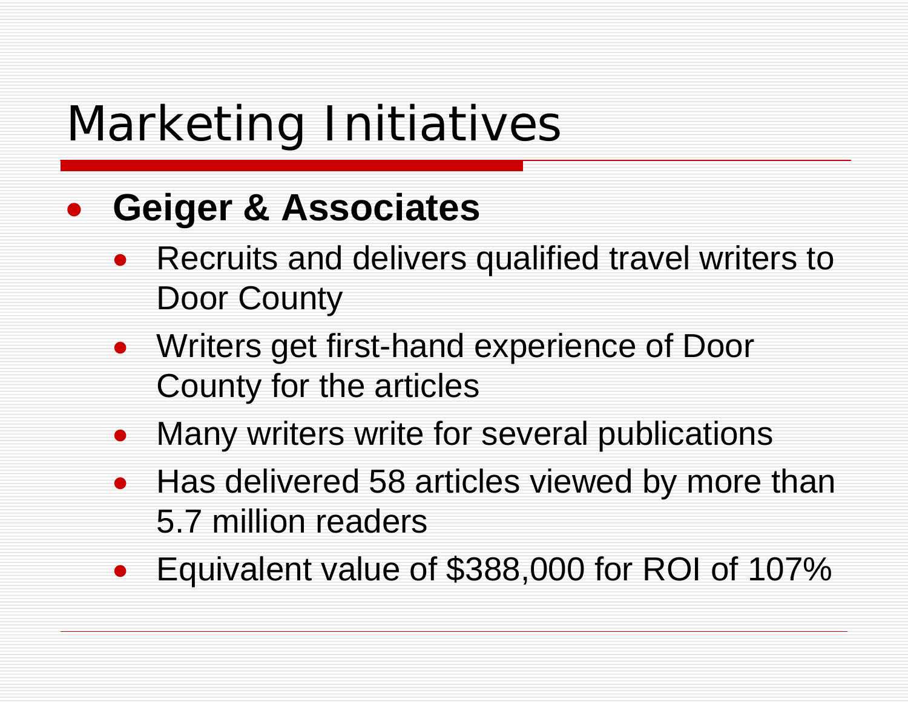### $\bullet$ **Geiger & Associates**

- Recruits and delivers qualified travel writers to Door County
- Writers get first-hand experience of Door County for the articles
- Many writers write for several publications
- Has delivered 58 articles viewed by more than 5.7 million readers
- $\bullet$ Equivalent value of \$388,000 for ROI of 107%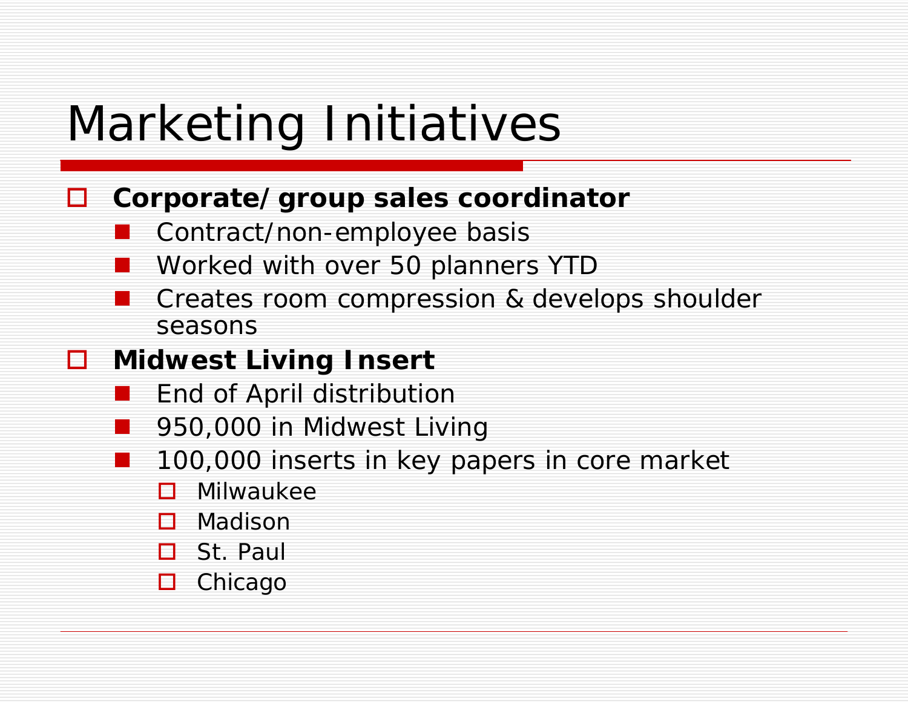#### $\Box$ **Corporate/group sales coordinator**

- $\mathbb{R}^3$ Contract/non-employee basis
- Worked with over 50 planners YTD
- $\mathbb{R}^2$  Creates room compression & develops shoulder seasons

#### $\Box$ **Midwest Living Insert**

- an<br>M End of April distribution
- $\mathbb{R}^3$ 950,000 in Midwest Living
- 100,000 inserts in key papers in core market
	- П Milwaukee
	- П Madison
	- $\Box$ St. Paul
	- □ Chicago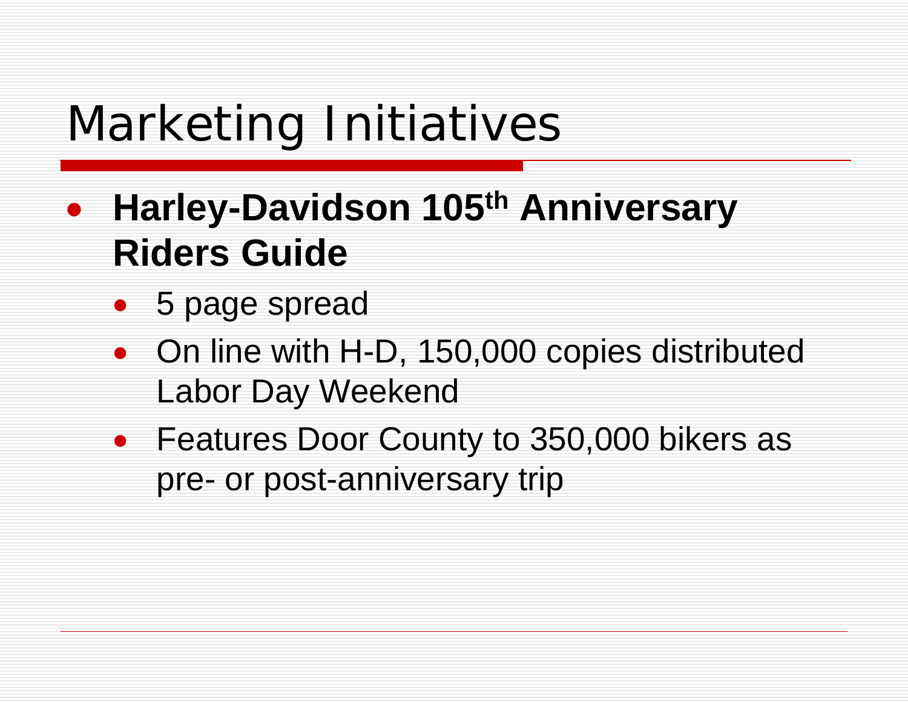- $\bullet$  **Harley-Davidson 105th Anniversary Riders Guide**
	- 5 page spread
	- On line with H-D, 150,000 copies distributed Labor Day Weekend
	- Features Door County to 350,000 bikers as pre- or post-anniversary trip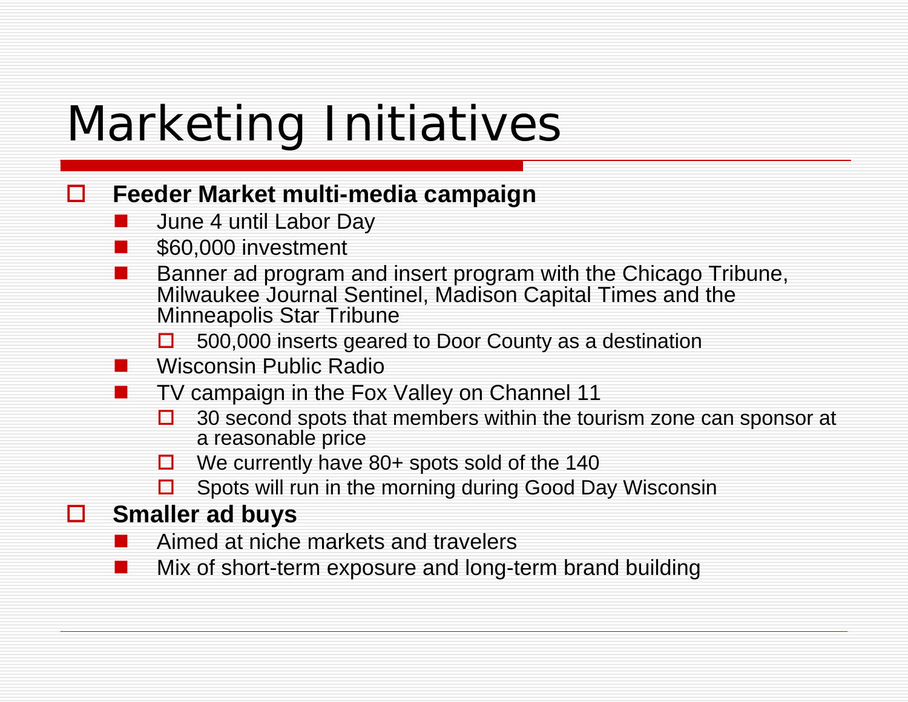#### $\Box$ **Feeder Market multi-media campaign**

- **Contract Contract Contract Contract Contract Contract Contract Contract Contract Contract Contract Contract Co** June 4 until Labor Day
- \$60,000 investment
- Banner ad program and insert program with the Chicago Tribune, Milwaukee Journal Sentinel, Madison Capital Times and the Minneapolis Star Tribune
	- $\Box$ 500,000 inserts geared to Door County as a destination
- **Contract Contract Contract Contract Contract Contract Contract Contract Contract Contract Contract Contract Co** Wisconsin Public Radio
- TV campaign in the Fox Valley on Channel 11
	- $\Box$  30 second spots that members within the tourism zone can sponsor at a reasonable price
	- $\Box$  We currently have 80+ spots sold of the 140
	- 0 Spots will run in the morning during Good Day Wisconsin

### **Smaller ad buys**

- **Service Service** Aimed at niche markets and travelers
- Mix of short-term exposure and long-term brand building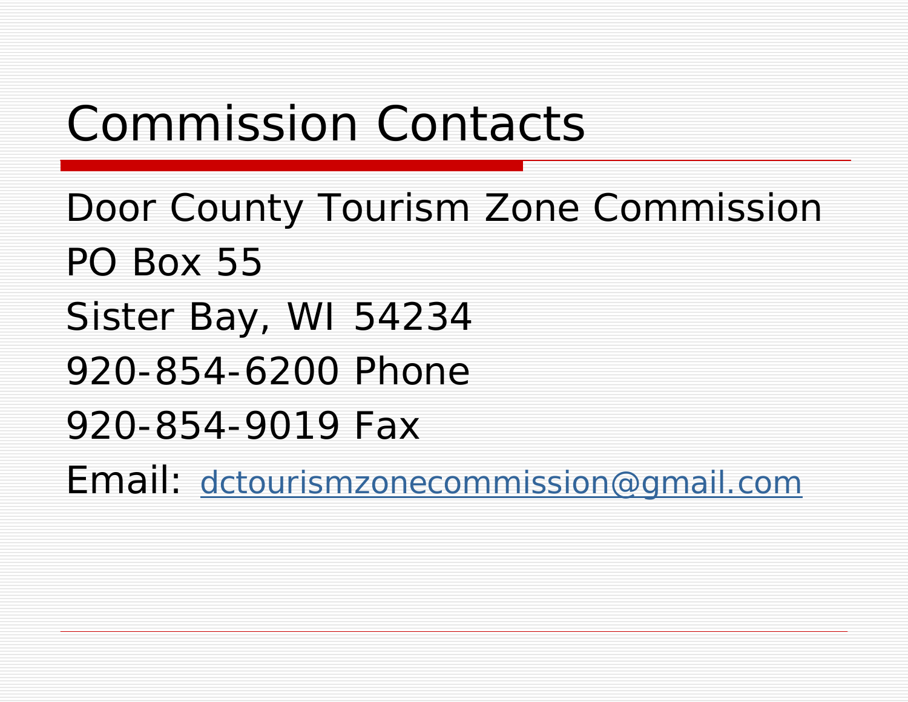## Commission Contacts

Door County Tourism Zone Commission PO Box 55Sister Bay, WI 54234 920-854-6200 Phone920-854-9019 FaxEmail: [dctourismzonecommission@gmail.com](mailto:dctourismzonecommission@gmail.com)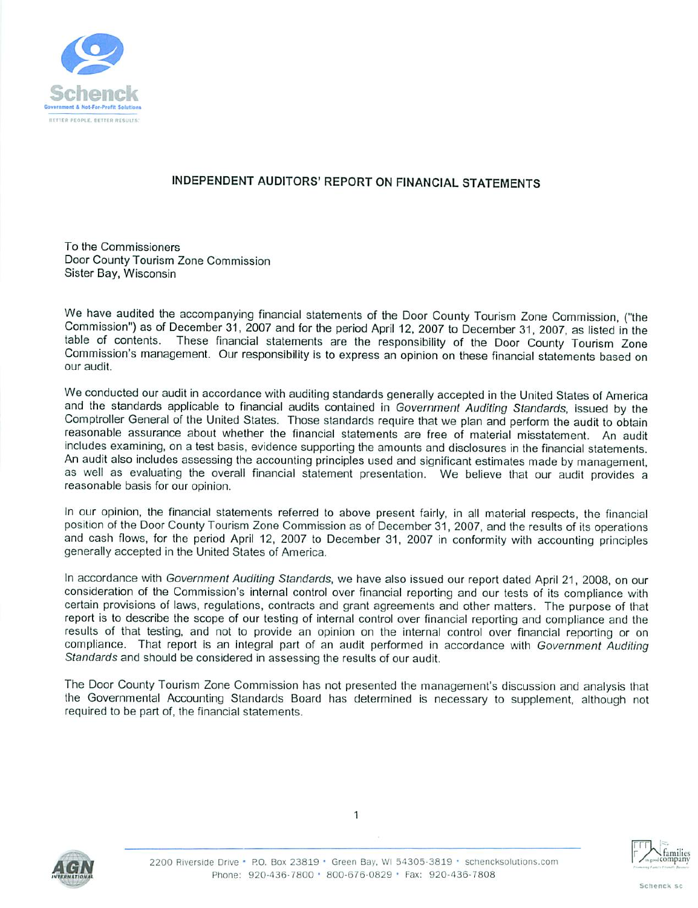

#### INDEPENDENT AUDITORS' REPORT ON FINANCIAL STATEMENTS

To the Commissioners Door County Tourism Zone Commission Sister Bay, Wisconsin

We have audited the accompanying financial statements of the Door County Tourism Zone Commission, ("the Commission") as of December 31, 2007 and for the period April 12, 2007 to December 31, 2007, as listed in the These financial statements are the responsibility of the Door County Tourism Zone table of contents. Commission's management. Our responsibility is to express an opinion on these financial statements based on our audit.

We conducted our audit in accordance with auditing standards generally accepted in the United States of America and the standards applicable to financial audits contained in Government Auditing Standards, issued by the Comptroller General of the United States. Those standards require that we plan and perform the audit to obtain reasonable assurance about whether the financial statements are free of material misstatement. An audit includes examining, on a test basis, evidence supporting the amounts and disclosures in the financial statements. An audit also includes assessing the accounting principles used and significant estimates made by management, as well as evaluating the overall financial statement presentation. We believe that our audit provides a reasonable basis for our opinion.

In our opinion, the financial statements referred to above present fairly, in all material respects, the financial position of the Door County Tourism Zone Commission as of December 31, 2007, and the results of its operations and cash flows, for the period April 12, 2007 to December 31, 2007 in conformity with accounting principles generally accepted in the United States of America.

In accordance with Government Auditing Standards, we have also issued our report dated April 21, 2008, on our consideration of the Commission's internal control over financial reporting and our tests of its compliance with certain provisions of laws, regulations, contracts and grant agreements and other matters. The purpose of that report is to describe the scope of our testing of internal control over financial reporting and compliance and the results of that testing, and not to provide an opinion on the internal control over financial reporting or on compliance. That report is an integral part of an audit performed in accordance with Government Auditing Standards and should be considered in assessing the results of our audit.

The Door County Tourism Zone Commission has not presented the management's discussion and analysis that the Governmental Accounting Standards Board has determined is necessary to supplement, although not required to be part of, the financial statements.





1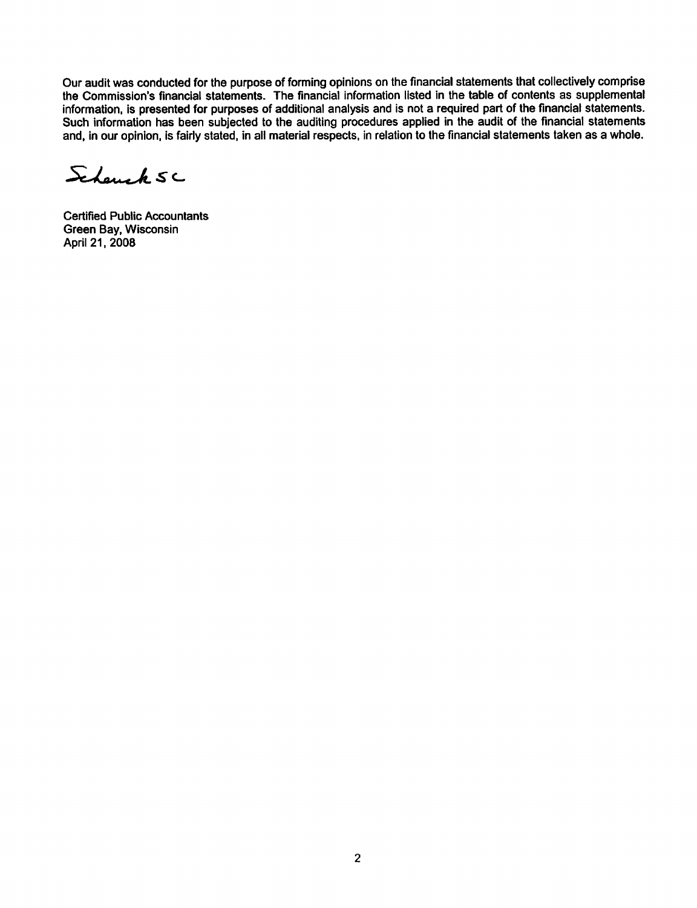Our audit was conducted for the purpose of forming opinions on the financial statements that collectively comprise the Commission's financial statements. The financial information listed in the table of contents as supplemental information, is presented for purposes of additional analysis and is not a required part of the financial statements. Such information has been subjected to the auditing procedures applied in the audit of the financial statements and, in our opinion, is fairly stated, in all material respects, in relation to the financial statements taken as a whole.

Schemak SC

**Certified Public Accountants** Green Bay, Wisconsin April 21, 2008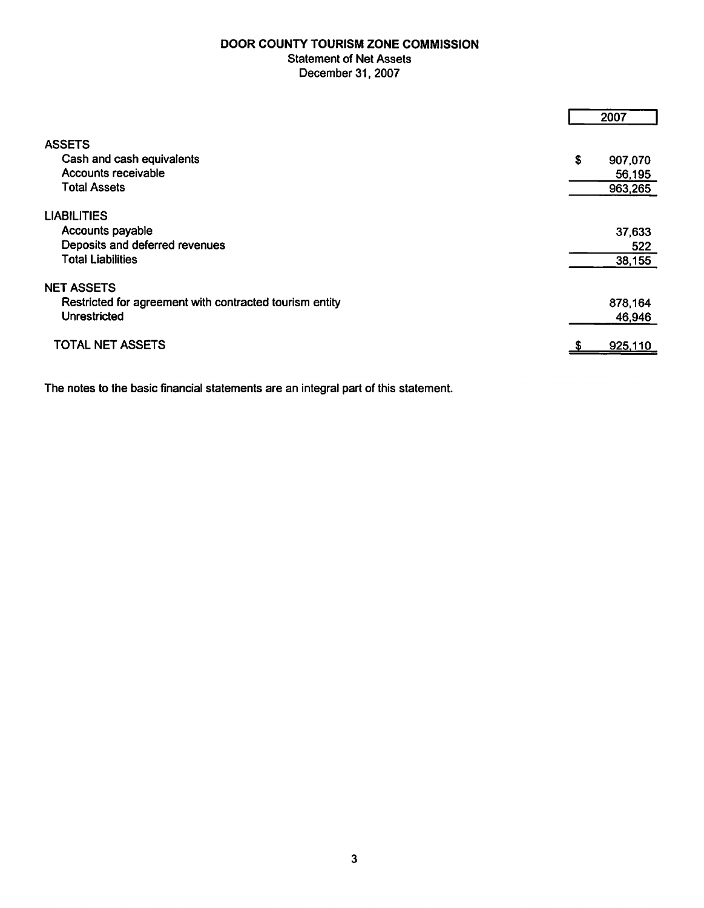#### DOOR COUNTY TOURISM ZONE COMMISSION **Statement of Net Assets** December 31, 2007

|                                                         | 2007          |
|---------------------------------------------------------|---------------|
| <b>ASSETS</b>                                           |               |
| Cash and cash equivalents                               | \$<br>907,070 |
| Accounts receivable                                     | 56,195        |
| <b>Total Assets</b>                                     | 963,265       |
| <b>LIABILITIES</b>                                      |               |
| Accounts payable                                        | 37,633        |
| Deposits and deferred revenues                          | 522           |
| <b>Total Liabilities</b>                                | 38,155        |
| <b>NET ASSETS</b>                                       |               |
| Restricted for agreement with contracted tourism entity | 878,164       |
| <b>Unrestricted</b>                                     | 46,946        |
| <b>TOTAL NET ASSETS</b>                                 | 925,110       |

The notes to the basic financial statements are an integral part of this statement.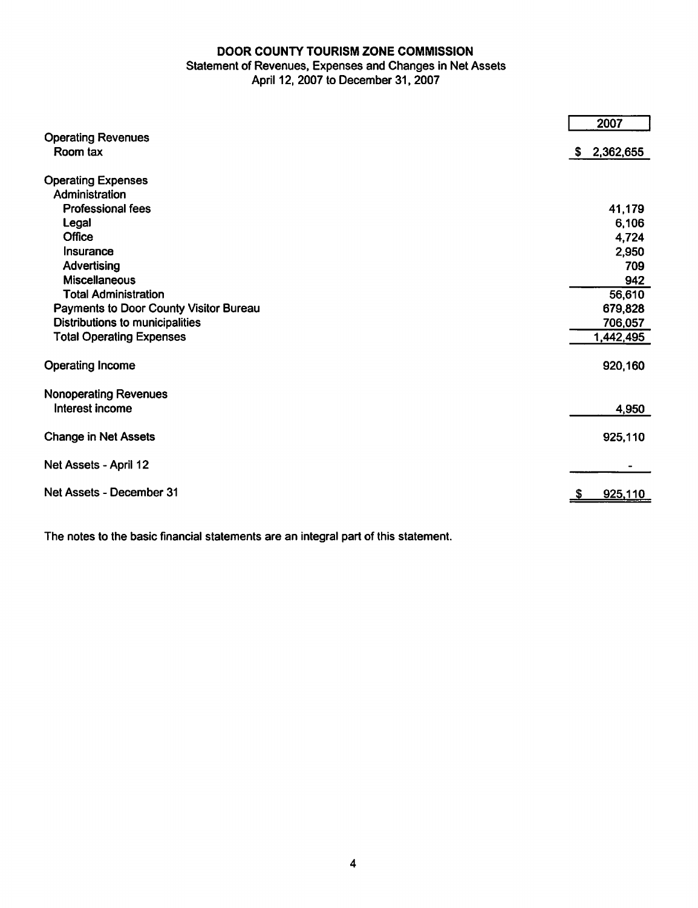#### DOOR COUNTY TOURISM ZONE COMMISSION

#### Statement of Revenues, Expenses and Changes in Net Assets April 12, 2007 to December 31, 2007

|                                        | 2007            |
|----------------------------------------|-----------------|
| <b>Operating Revenues</b>              |                 |
| Room tax                               | 2,362,655<br>S. |
| <b>Operating Expenses</b>              |                 |
| Administration                         |                 |
| <b>Professional fees</b>               | 41,179          |
| Legal                                  | 6,106           |
| Office                                 | 4,724           |
| Insurance                              | 2,950           |
| Advertising                            | 709             |
| <b>Miscellaneous</b>                   | 942             |
| <b>Total Administration</b>            | 56,610          |
| Payments to Door County Visitor Bureau | 679,828         |
| Distributions to municipalities        | 706,057         |
| <b>Total Operating Expenses</b>        | 1,442,495       |
| <b>Operating Income</b>                | 920,160         |
| <b>Nonoperating Revenues</b>           |                 |
| Interest income                        | 4,950           |
| <b>Change in Net Assets</b>            | 925,110         |
| Net Assets - April 12                  |                 |
| Net Assets - December 31               | 925,110         |
|                                        |                 |

The notes to the basic financial statements are an integral part of this statement.